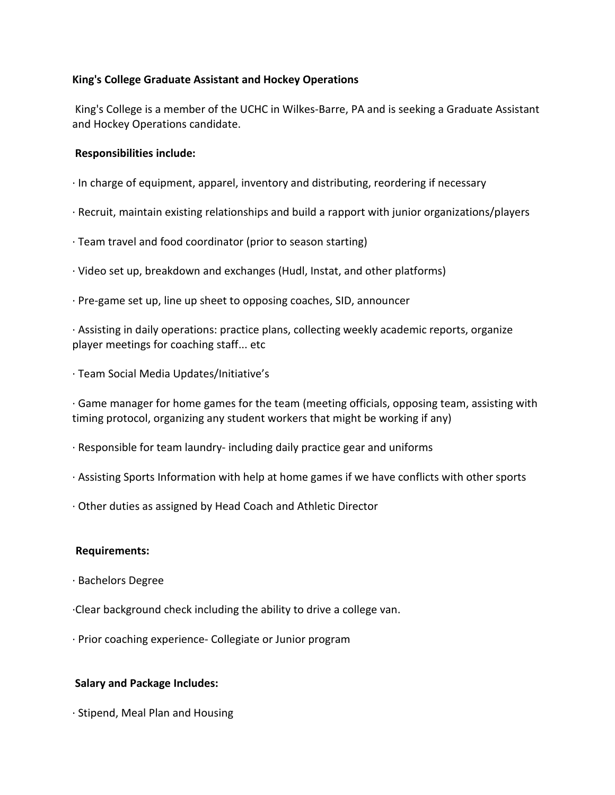## **King's College Graduate Assistant and Hockey Operations**

King's College is a member of the UCHC in Wilkes-Barre, PA and is seeking a Graduate Assistant and Hockey Operations candidate.

## **Responsibilities include:**

- · In charge of equipment, apparel, inventory and distributing, reordering if necessary
- · Recruit, maintain existing relationships and build a rapport with junior organizations/players
- · Team travel and food coordinator (prior to season starting)
- · Video set up, breakdown and exchanges (Hudl, Instat, and other platforms)
- · Pre-game set up, line up sheet to opposing coaches, SID, announcer

· Assisting in daily operations: practice plans, collecting weekly academic reports, organize player meetings for coaching staff... etc

· Team Social Media Updates/Initiative's

· Game manager for home games for the team (meeting officials, opposing team, assisting with timing protocol, organizing any student workers that might be working if any)

- · Responsible for team laundry- including daily practice gear and uniforms
- · Assisting Sports Information with help at home games if we have conflicts with other sports
- · Other duties as assigned by Head Coach and Athletic Director

## **Requirements:**

- · Bachelors Degree
- ·Clear background check including the ability to drive a college van.
- · Prior coaching experience- Collegiate or Junior program

## **Salary and Package Includes:**

· Stipend, Meal Plan and Housing